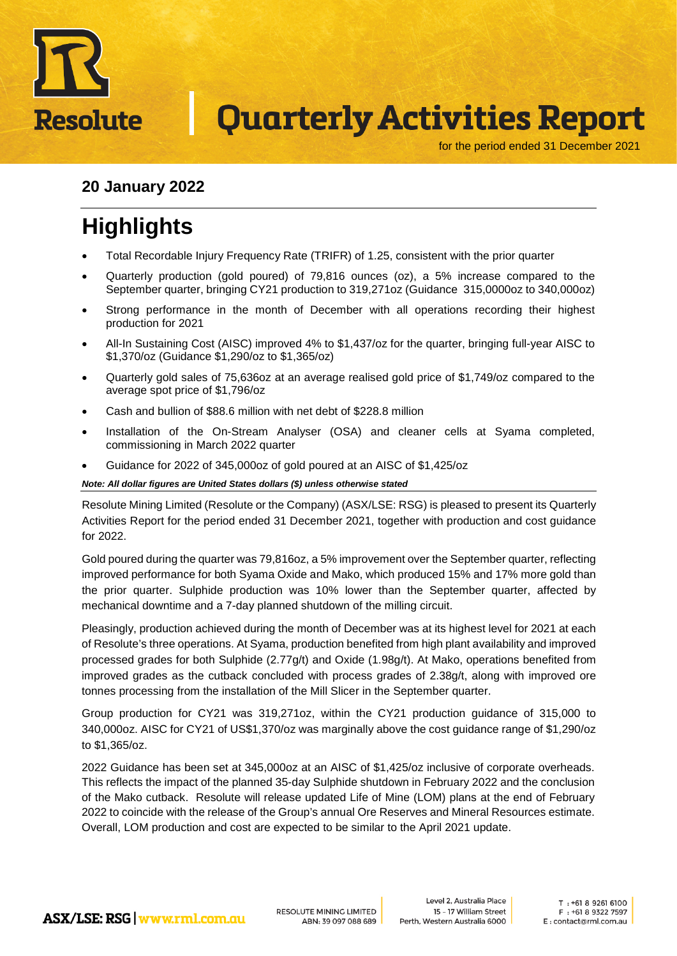

for the period ended 31 December 2021

#### **20 January 2022**

## **Highlights**

- Total Recordable Injury Frequency Rate (TRIFR) of 1.25, consistent with the prior quarter
- Quarterly production (gold poured) of 79,816 ounces (oz), a 5% increase compared to the September quarter, bringing CY21 production to 319,271oz (Guidance 315,0000oz to 340,000oz)
- Strong performance in the month of December with all operations recording their highest production for 2021
- All-In Sustaining Cost (AISC) improved 4% to \$1,437/oz for the quarter, bringing full-year AISC to \$1,370/oz (Guidance \$1,290/oz to \$1,365/oz)
- Quarterly gold sales of 75,636oz at an average realised gold price of \$1,749/oz compared to the average spot price of \$1,796/oz
- Cash and bullion of \$88.6 million with net debt of \$228.8 million
- Installation of the On-Stream Analyser (OSA) and cleaner cells at Syama completed, commissioning in March 2022 quarter
- Guidance for 2022 of 345,000oz of gold poured at an AISC of \$1,425/oz

*Note: All dollar figures are United States dollars (\$) unless otherwise stated*

Resolute Mining Limited (Resolute or the Company) (ASX/LSE: RSG) is pleased to present its Quarterly Activities Report for the period ended 31 December 2021, together with production and cost guidance for 2022.

Gold poured during the quarter was 79,816oz, a 5% improvement over the September quarter, reflecting improved performance for both Syama Oxide and Mako, which produced 15% and 17% more gold than the prior quarter. Sulphide production was 10% lower than the September quarter, affected by mechanical downtime and a 7-day planned shutdown of the milling circuit.

Pleasingly, production achieved during the month of December was at its highest level for 2021 at each of Resolute's three operations. At Syama, production benefited from high plant availability and improved processed grades for both Sulphide (2.77g/t) and Oxide (1.98g/t). At Mako, operations benefited from improved grades as the cutback concluded with process grades of 2.38g/t, along with improved ore tonnes processing from the installation of the Mill Slicer in the September quarter.

Group production for CY21 was 319,271oz, within the CY21 production guidance of 315,000 to 340,000oz. AISC for CY21 of US\$1,370/oz was marginally above the cost guidance range of \$1,290/oz to \$1,365/oz.

2022 Guidance has been set at 345,000oz at an AISC of \$1,425/oz inclusive of corporate overheads. This reflects the impact of the planned 35-day Sulphide shutdown in February 2022 and the conclusion of the Mako cutback. Resolute will release updated Life of Mine (LOM) plans at the end of February 2022 to coincide with the release of the Group's annual Ore Reserves and Mineral Resources estimate. Overall, LOM production and cost are expected to be similar to the April 2021 update.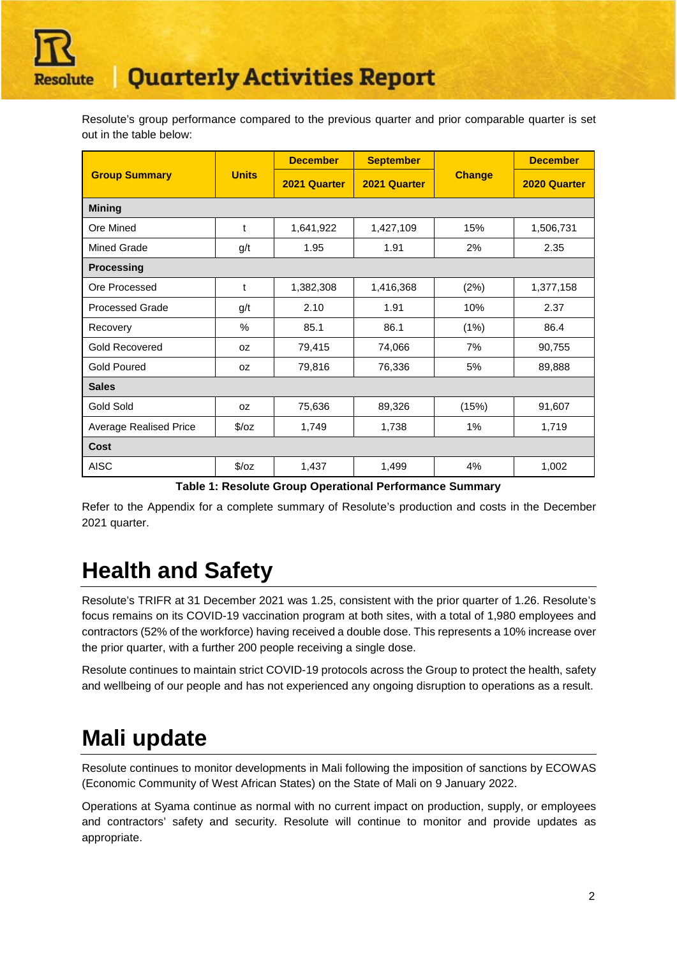

Resolute's group performance compared to the previous quarter and prior comparable quarter is set out in the table below:

| <b>Group Summary</b>          |               | <b>December</b> | <b>September</b> |               | <b>December</b> |  |  |  |  |
|-------------------------------|---------------|-----------------|------------------|---------------|-----------------|--|--|--|--|
|                               | <b>Units</b>  | 2021 Quarter    | 2021 Quarter     | <b>Change</b> | 2020 Quarter    |  |  |  |  |
| <b>Mining</b>                 |               |                 |                  |               |                 |  |  |  |  |
| Ore Mined                     | t             | 1,641,922       | 1,427,109        | 15%           | 1,506,731       |  |  |  |  |
| <b>Mined Grade</b>            | g/t           | 1.95            | 1.91             | 2%            | 2.35            |  |  |  |  |
| <b>Processing</b>             |               |                 |                  |               |                 |  |  |  |  |
| Ore Processed                 | t             | 1,382,308       | 1,416,368        | (2%)          | 1,377,158       |  |  |  |  |
| <b>Processed Grade</b>        | g/t           | 2.10            | 1.91             | 10%           | 2.37            |  |  |  |  |
| Recovery                      | %             | 85.1            | 86.1             | (1%)          | 86.4            |  |  |  |  |
| <b>Gold Recovered</b>         | 0Z            | 79,415          | 74,066           | 7%            | 90,755          |  |  |  |  |
| <b>Gold Poured</b>            | 0Z            | 79,816          | 76,336           | 5%            | 89,888          |  |  |  |  |
| <b>Sales</b>                  |               |                 |                  |               |                 |  |  |  |  |
| <b>Gold Sold</b>              | 0Z            | 75,636          | 89,326           | (15%)         | 91,607          |  |  |  |  |
| <b>Average Realised Price</b> | $\sqrt{2}/oz$ | 1,749           | 1,738            | $1\%$         | 1,719           |  |  |  |  |
| Cost                          |               |                 |                  |               |                 |  |  |  |  |
| <b>AISC</b>                   | $\sqrt{2}/oz$ | 1,437           | 1,499            | 4%            | 1,002           |  |  |  |  |

**Table 1: Resolute Group Operational Performance Summary**

Refer to the Appendix for a complete summary of Resolute's production and costs in the December 2021 quarter.

## **Health and Safety**

Resolute's TRIFR at 31 December 2021 was 1.25, consistent with the prior quarter of 1.26. Resolute's focus remains on its COVID-19 vaccination program at both sites, with a total of 1,980 employees and contractors (52% of the workforce) having received a double dose. This represents a 10% increase over the prior quarter, with a further 200 people receiving a single dose.

Resolute continues to maintain strict COVID-19 protocols across the Group to protect the health, safety and wellbeing of our people and has not experienced any ongoing disruption to operations as a result.

## **Mali update**

Resolute continues to monitor developments in Mali following the imposition of sanctions by ECOWAS (Economic Community of West African States) on the State of Mali on 9 January 2022.

Operations at Syama continue as normal with no current impact on production, supply, or employees and contractors' safety and security. Resolute will continue to monitor and provide updates as appropriate.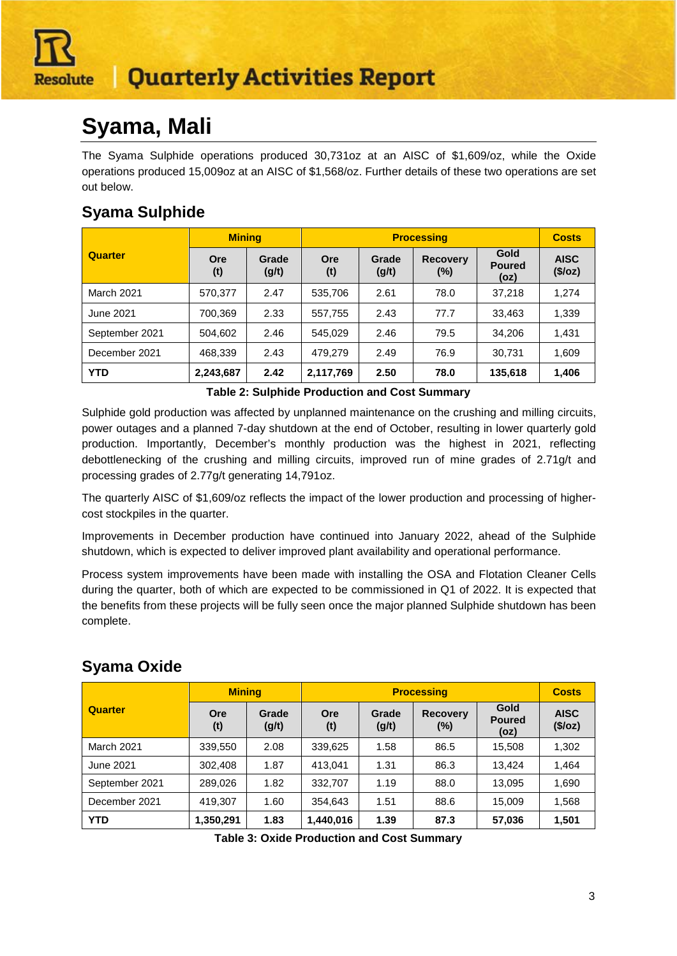

## **Syama, Mali**

The Syama Sulphide operations produced 30,731oz at an AISC of \$1,609/oz, while the Oxide operations produced 15,009oz at an AISC of \$1,568/oz. Further details of these two operations are set out below.

### **Syama Sulphide**

|                   | <b>Mining</b> |                |                   |                | <b>Processing</b>         |                               | <b>Costs</b>           |
|-------------------|---------------|----------------|-------------------|----------------|---------------------------|-------------------------------|------------------------|
| Quarter           | Ore<br>(t)    | Grade<br>(g/t) | <b>Ore</b><br>(t) | Grade<br>(g/t) | <b>Recovery</b><br>$(\%)$ | Gold<br><b>Poured</b><br>(oz) | <b>AISC</b><br>(\$/oz) |
| <b>March 2021</b> | 570,377       | 2.47           | 535,706           | 2.61           | 78.0                      | 37.218                        | 1,274                  |
| June 2021         | 700,369       | 2.33           | 557,755           | 2.43           | 77.7                      | 33.463                        | 1,339                  |
| September 2021    | 504,602       | 2.46           | 545.029           | 2.46           | 79.5                      | 34.206                        | 1,431                  |
| December 2021     | 468,339       | 2.43           | 479.279           | 2.49           | 76.9                      | 30.731                        | 1,609                  |
| <b>YTD</b>        | 2,243,687     | 2.42           | 2,117,769         | 2.50           | 78.0                      | 135,618                       | 1,406                  |

**Table 2: Sulphide Production and Cost Summary**

Sulphide gold production was affected by unplanned maintenance on the crushing and milling circuits, power outages and a planned 7-day shutdown at the end of October, resulting in lower quarterly gold production. Importantly, December's monthly production was the highest in 2021, reflecting debottlenecking of the crushing and milling circuits, improved run of mine grades of 2.71g/t and processing grades of 2.77g/t generating 14,791oz.

The quarterly AISC of \$1,609/oz reflects the impact of the lower production and processing of highercost stockpiles in the quarter.

Improvements in December production have continued into January 2022, ahead of the Sulphide shutdown, which is expected to deliver improved plant availability and operational performance.

Process system improvements have been made with installing the OSA and Flotation Cleaner Cells during the quarter, both of which are expected to be commissioned in Q1 of 2022. It is expected that the benefits from these projects will be fully seen once the major planned Sulphide shutdown has been complete.

|                   | <b>Mining</b> |                |                   |                | <b>Processing</b><br><b>Costs</b> |                               |                        |  |
|-------------------|---------------|----------------|-------------------|----------------|-----------------------------------|-------------------------------|------------------------|--|
| Quarter           | Ore<br>(t)    | Grade<br>(g/t) | <b>Ore</b><br>(t) | Grade<br>(g/t) | <b>Recovery</b><br>$(\%)$         | Gold<br><b>Poured</b><br>(oz) | <b>AISC</b><br>(\$/oz) |  |
| <b>March 2021</b> | 339,550       | 2.08           | 339,625           | 1.58           | 86.5                              | 15,508                        | 1,302                  |  |
| June 2021         | 302.408       | 1.87           | 413.041           | 1.31           | 86.3                              | 13.424                        | 1,464                  |  |
| September 2021    | 289,026       | 1.82           | 332.707           | 1.19           | 88.0                              | 13,095                        | 1,690                  |  |
| December 2021     | 419.307       | 1.60           | 354,643           | 1.51           | 88.6                              | 15.009                        | 1,568                  |  |
| <b>YTD</b>        | 1,350,291     | 1.83           | 1,440,016         | 1.39           | 87.3                              | 57,036                        | 1,501                  |  |

### **Syama Oxide**

**Table 3: Oxide Production and Cost Summary**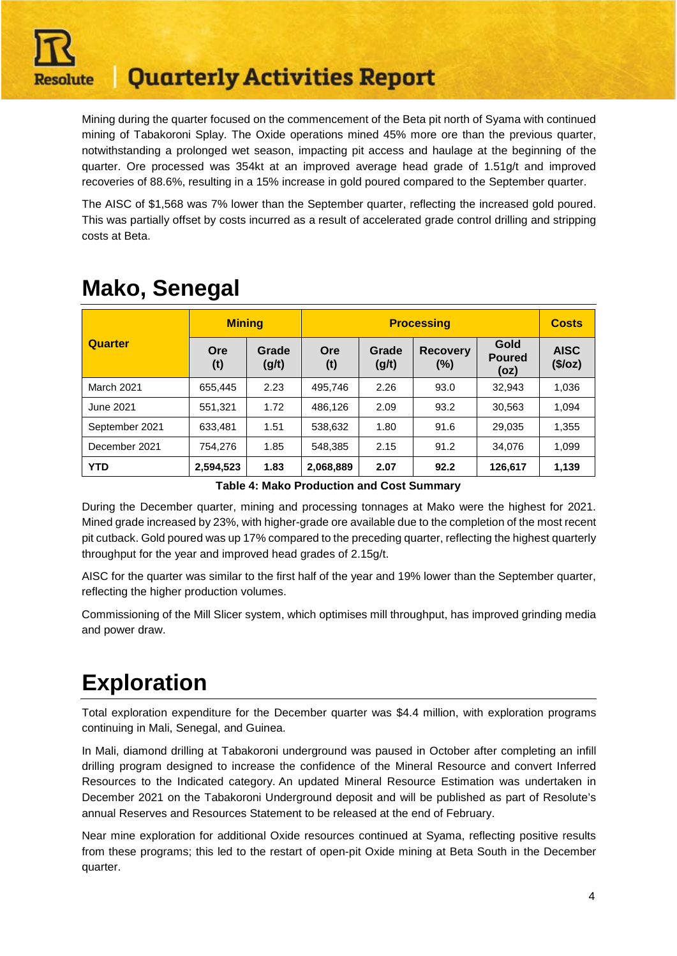

Mining during the quarter focused on the commencement of the Beta pit north of Syama with continued mining of Tabakoroni Splay. The Oxide operations mined 45% more ore than the previous quarter, notwithstanding a prolonged wet season, impacting pit access and haulage at the beginning of the quarter. Ore processed was 354kt at an improved average head grade of 1.51g/t and improved recoveries of 88.6%, resulting in a 15% increase in gold poured compared to the September quarter.

The AISC of \$1,568 was 7% lower than the September quarter, reflecting the increased gold poured. This was partially offset by costs incurred as a result of accelerated grade control drilling and stripping costs at Beta.

|                | <b>Mining</b> |                | <b>Processing</b> |                |                           |                               | <b>Costs</b>           |
|----------------|---------------|----------------|-------------------|----------------|---------------------------|-------------------------------|------------------------|
| Quarter        | Ore<br>(t)    | Grade<br>(g/t) | Ore<br>(t)        | Grade<br>(g/t) | <b>Recovery</b><br>$(\%)$ | Gold<br><b>Poured</b><br>(oz) | <b>AISC</b><br>(\$/oz) |
| March 2021     | 655,445       | 2.23           | 495,746           | 2.26           | 93.0                      | 32.943                        | 1,036                  |
| June 2021      | 551.321       | 1.72           | 486.126           | 2.09           | 93.2                      | 30,563                        | 1.094                  |
| September 2021 | 633.481       | 1.51           | 538,632           | 1.80           | 91.6                      | 29.035                        | 1,355                  |
| December 2021  | 754.276       | 1.85           | 548.385           | 2.15           | 91.2                      | 34.076                        | 1.099                  |
| <b>YTD</b>     | 2,594,523     | 1.83           | 2,068,889         | 2.07           | 92.2                      | 126,617                       | 1,139                  |

### **Mako, Senegal**

**Table 4: Mako Production and Cost Summary**

During the December quarter, mining and processing tonnages at Mako were the highest for 2021. Mined grade increased by 23%, with higher-grade ore available due to the completion of the most recent pit cutback. Gold poured was up 17% compared to the preceding quarter, reflecting the highest quarterly throughput for the year and improved head grades of 2.15g/t.

AISC for the quarter was similar to the first half of the year and 19% lower than the September quarter, reflecting the higher production volumes.

Commissioning of the Mill Slicer system, which optimises mill throughput, has improved grinding media and power draw.

## **Exploration**

Total exploration expenditure for the December quarter was \$4.4 million, with exploration programs continuing in Mali, Senegal, and Guinea.

In Mali, diamond drilling at Tabakoroni underground was paused in October after completing an infill drilling program designed to increase the confidence of the Mineral Resource and convert Inferred Resources to the Indicated category. An updated Mineral Resource Estimation was undertaken in December 2021 on the Tabakoroni Underground deposit and will be published as part of Resolute's annual Reserves and Resources Statement to be released at the end of February.

Near mine exploration for additional Oxide resources continued at Syama, reflecting positive results from these programs; this led to the restart of open-pit Oxide mining at Beta South in the December quarter.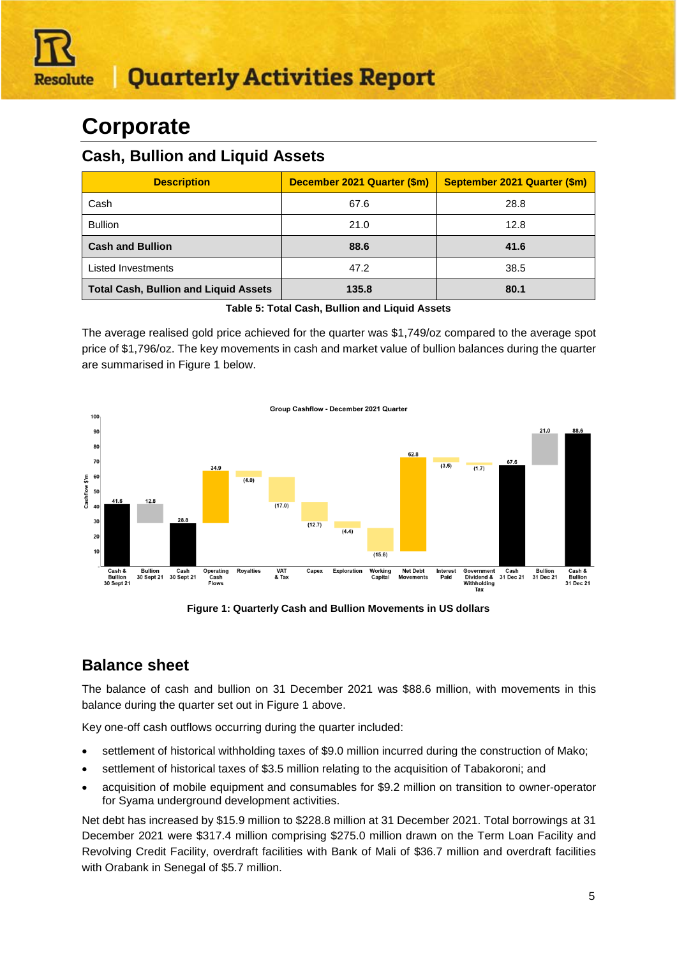## **Corporate**

#### **Cash, Bullion and Liquid Assets**

| <b>Description</b>                           | December 2021 Quarter (\$m) | September 2021 Quarter (\$m) |
|----------------------------------------------|-----------------------------|------------------------------|
| Cash                                         | 67.6                        | 28.8                         |
| <b>Bullion</b>                               | 21.0                        | 12.8                         |
| <b>Cash and Bullion</b>                      | 88.6                        | 41.6                         |
| <b>Listed Investments</b>                    | 47.2                        | 38.5                         |
| <b>Total Cash, Bullion and Liquid Assets</b> | 135.8                       | 80.1                         |

**Table 5: Total Cash, Bullion and Liquid Assets**

The average realised gold price achieved for the quarter was \$1,749/oz compared to the average spot price of \$1,796/oz. The key movements in cash and market value of bullion balances during the quarter are summarised in Figure 1 below.



**Figure 1: Quarterly Cash and Bullion Movements in US dollars**

### **Balance sheet**

The balance of cash and bullion on 31 December 2021 was \$88.6 million, with movements in this balance during the quarter set out in Figure 1 above.

Key one-off cash outflows occurring during the quarter included:

- settlement of historical withholding taxes of \$9.0 million incurred during the construction of Mako;
- settlement of historical taxes of \$3.5 million relating to the acquisition of Tabakoroni; and
- acquisition of mobile equipment and consumables for \$9.2 million on transition to owner-operator for Syama underground development activities.

Net debt has increased by \$15.9 million to \$228.8 million at 31 December 2021. Total borrowings at 31 December 2021 were \$317.4 million comprising \$275.0 million drawn on the Term Loan Facility and Revolving Credit Facility, overdraft facilities with Bank of Mali of \$36.7 million and overdraft facilities with Orabank in Senegal of \$5.7 million.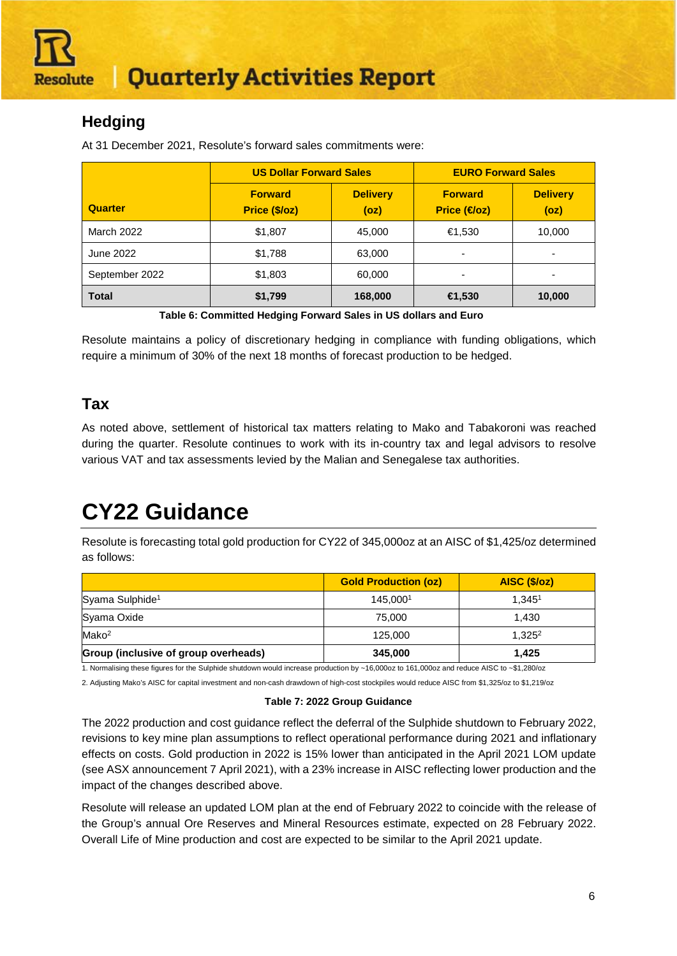

### **Hedging**

At 31 December 2021, Resolute's forward sales commitments were:

|                | <b>US Dollar Forward Sales</b>  |                         | <b>EURO Forward Sales</b>            |                         |  |  |
|----------------|---------------------------------|-------------------------|--------------------------------------|-------------------------|--|--|
| <b>Quarter</b> | <b>Forward</b><br>Price (\$/oz) | <b>Delivery</b><br>(oz) | <b>Forward</b><br><b>Price (€oz)</b> | <b>Delivery</b><br>(oz) |  |  |
| March 2022     | \$1,807                         | 45,000                  | €1,530                               | 10,000                  |  |  |
| June 2022      | \$1,788                         | 63,000                  | -                                    |                         |  |  |
| September 2022 | \$1,803                         | 60,000                  | -                                    |                         |  |  |
| <b>Total</b>   | \$1,799                         | 168,000                 | <del>∈</del> 1,530                   | 10,000                  |  |  |

**Table 6: Committed Hedging Forward Sales in US dollars and Euro**

Resolute maintains a policy of discretionary hedging in compliance with funding obligations, which require a minimum of 30% of the next 18 months of forecast production to be hedged.

### **Tax**

As noted above, settlement of historical tax matters relating to Mako and Tabakoroni was reached during the quarter. Resolute continues to work with its in-country tax and legal advisors to resolve various VAT and tax assessments levied by the Malian and Senegalese tax authorities.

## **CY22 Guidance**

Resolute is forecasting total gold production for CY22 of 345,000oz at an AISC of \$1,425/oz determined as follows:

|                                      | <b>Gold Production (oz)</b> | AISC (\$/oz)       |
|--------------------------------------|-----------------------------|--------------------|
| Syama Sulphide <sup>1</sup>          | 145.0001                    | 1.345 <sup>1</sup> |
| Syama Oxide                          | 75,000                      | 1.430              |
| Mako <sup>2</sup>                    | 125,000                     | $1,325^2$          |
| Group (inclusive of group overheads) | 345,000                     | 1.425              |

1. Normalising these figures for the Sulphide shutdown would increase production by ~16,000oz to 161,000oz and reduce AISC to ~\$1,280/oz

2. Adjusting Mako's AISC for capital investment and non-cash drawdown of high-cost stockpiles would reduce AISC from \$1,325/oz to \$1,219/oz

#### **Table 7: 2022 Group Guidance**

The 2022 production and cost guidance reflect the deferral of the Sulphide shutdown to February 2022, revisions to key mine plan assumptions to reflect operational performance during 2021 and inflationary effects on costs. Gold production in 2022 is 15% lower than anticipated in the April 2021 LOM update (see ASX announcement 7 April 2021), with a 23% increase in AISC reflecting lower production and the impact of the changes described above.

Resolute will release an updated LOM plan at the end of February 2022 to coincide with the release of the Group's annual Ore Reserves and Mineral Resources estimate, expected on 28 February 2022. Overall Life of Mine production and cost are expected to be similar to the April 2021 update.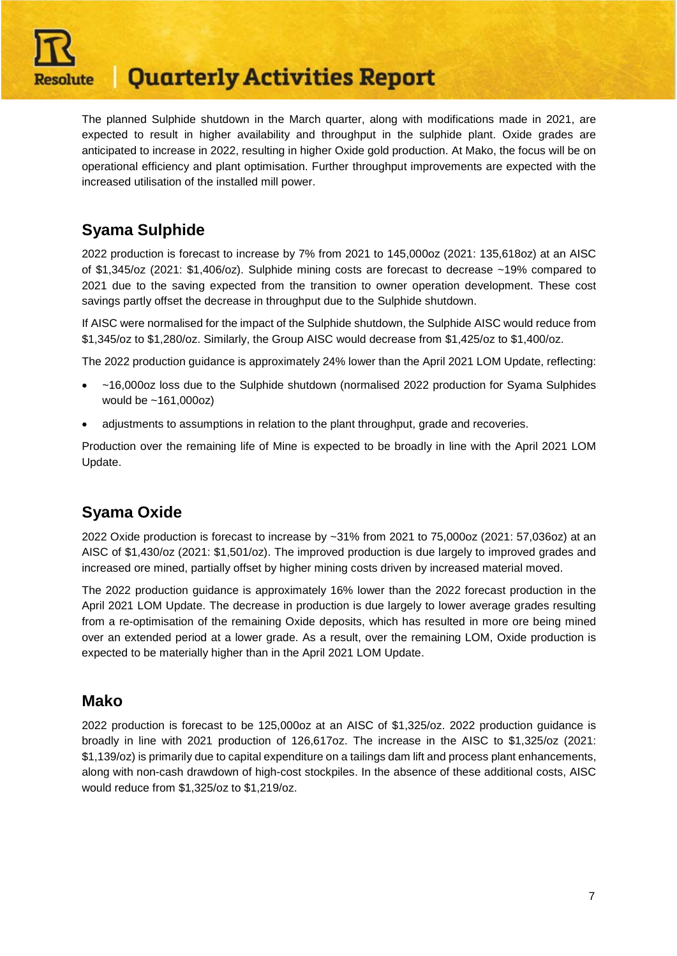

The planned Sulphide shutdown in the March quarter, along with modifications made in 2021, are expected to result in higher availability and throughput in the sulphide plant. Oxide grades are anticipated to increase in 2022, resulting in higher Oxide gold production. At Mako, the focus will be on operational efficiency and plant optimisation. Further throughput improvements are expected with the increased utilisation of the installed mill power.

### **Syama Sulphide**

2022 production is forecast to increase by 7% from 2021 to 145,000oz (2021: 135,618oz) at an AISC of \$1,345/oz (2021: \$1,406/oz). Sulphide mining costs are forecast to decrease ~19% compared to 2021 due to the saving expected from the transition to owner operation development. These cost savings partly offset the decrease in throughput due to the Sulphide shutdown.

If AISC were normalised for the impact of the Sulphide shutdown, the Sulphide AISC would reduce from \$1,345/oz to \$1,280/oz. Similarly, the Group AISC would decrease from \$1,425/oz to \$1,400/oz.

The 2022 production guidance is approximately 24% lower than the April 2021 LOM Update, reflecting:

- ~16,000oz loss due to the Sulphide shutdown (normalised 2022 production for Syama Sulphides would be ~161,000oz)
- adjustments to assumptions in relation to the plant throughput, grade and recoveries.

Production over the remaining life of Mine is expected to be broadly in line with the April 2021 LOM Update.

### **Syama Oxide**

2022 Oxide production is forecast to increase by ~31% from 2021 to 75,000oz (2021: 57,036oz) at an AISC of \$1,430/oz (2021: \$1,501/oz). The improved production is due largely to improved grades and increased ore mined, partially offset by higher mining costs driven by increased material moved.

The 2022 production guidance is approximately 16% lower than the 2022 forecast production in the April 2021 LOM Update. The decrease in production is due largely to lower average grades resulting from a re-optimisation of the remaining Oxide deposits, which has resulted in more ore being mined over an extended period at a lower grade. As a result, over the remaining LOM, Oxide production is expected to be materially higher than in the April 2021 LOM Update.

#### **Mako**

2022 production is forecast to be 125,000oz at an AISC of \$1,325/oz. 2022 production guidance is broadly in line with 2021 production of 126,617oz. The increase in the AISC to \$1,325/oz (2021: \$1,139/oz) is primarily due to capital expenditure on a tailings dam lift and process plant enhancements, along with non-cash drawdown of high-cost stockpiles. In the absence of these additional costs, AISC would reduce from \$1,325/oz to \$1,219/oz.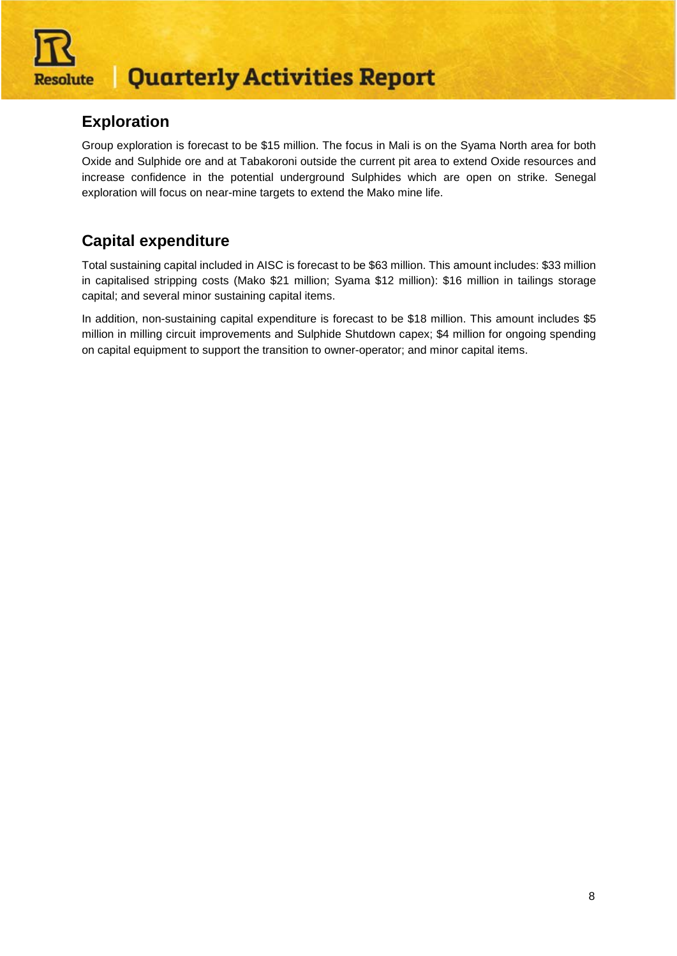

### **Exploration**

Group exploration is forecast to be \$15 million. The focus in Mali is on the Syama North area for both Oxide and Sulphide ore and at Tabakoroni outside the current pit area to extend Oxide resources and increase confidence in the potential underground Sulphides which are open on strike. Senegal exploration will focus on near-mine targets to extend the Mako mine life.

### **Capital expenditure**

Total sustaining capital included in AISC is forecast to be \$63 million. This amount includes: \$33 million in capitalised stripping costs (Mako \$21 million; Syama \$12 million): \$16 million in tailings storage capital; and several minor sustaining capital items.

In addition, non-sustaining capital expenditure is forecast to be \$18 million. This amount includes \$5 million in milling circuit improvements and Sulphide Shutdown capex; \$4 million for ongoing spending on capital equipment to support the transition to owner-operator; and minor capital items.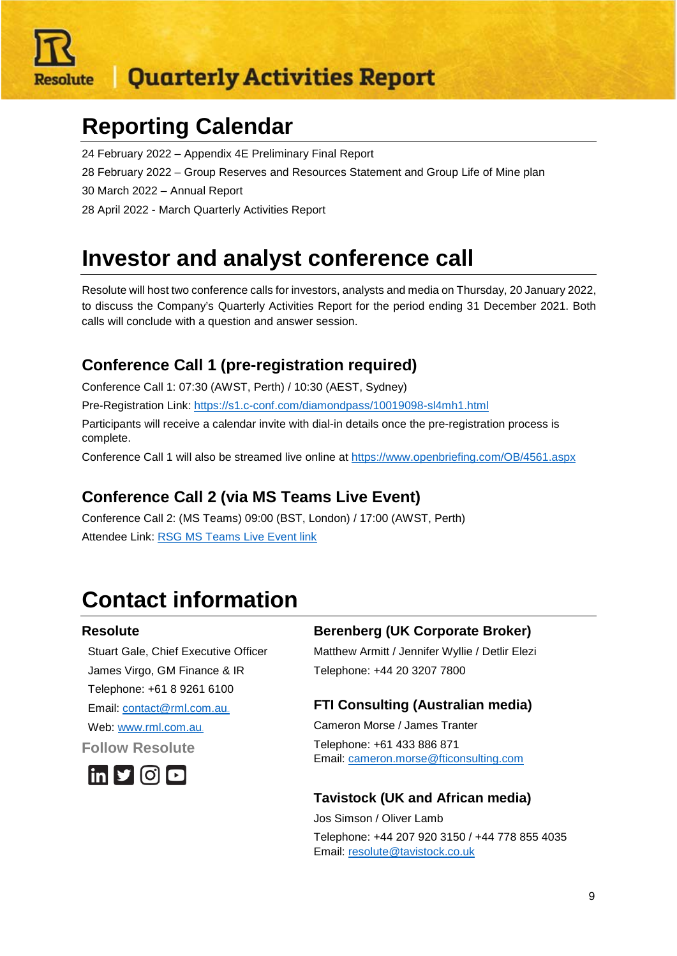

## **Reporting Calendar**

- 24 February 2022 Appendix 4E Preliminary Final Report
- 28 February 2022 Group Reserves and Resources Statement and Group Life of Mine plan
- 30 March 2022 Annual Report
- 28 April 2022 March Quarterly Activities Report

## **Investor and analyst conference call**

Resolute will host two conference calls for investors, analysts and media on Thursday, 20 January 2022, to discuss the Company's Quarterly Activities Report for the period ending 31 December 2021. Both calls will conclude with a question and answer session.

### **Conference Call 1 (pre-registration required)**

Conference Call 1: 07:30 (AWST, Perth) / 10:30 (AEST, Sydney)

Pre-Registration Link:<https://s1.c-conf.com/diamondpass/10019098-sl4mh1.html>

Participants will receive a calendar invite with dial-in details once the pre-registration process is complete.

Conference Call 1 will also be streamed live online at<https://www.openbriefing.com/OB/4561.aspx>

### **Conference Call 2 (via MS Teams Live Event)**

Conference Call 2: (MS Teams) 09:00 (BST, London) / 17:00 (AWST, Perth) Attendee Link: [RSG MS Teams Live Event link](https://teams.microsoft.com/l/meetup-join/19%3ameeting_ZTMzYTQ5MjQtOGFlYi00ZDgyLTgwZTgtYTg0ODFmMzQ2Mjlj%40thread.v2/0?context=%7b%22Tid%22%3a%2286b8d6e0-b316-429c-b704-47112106bbd0%22%2c%22Oid%22%3a%22795c270e-b0d7-417f-86a1-d6fc22179f9a%22%2c%22IsBroadcastMeeting%22%3atrue%7d&btype=a&role=a)

## **Contact information**

#### **Resolute**

Stuart Gale, Chief Executive Officer James Virgo, GM Finance & IR Telephone: +61 8 9261 6100 Email: contact@rml.com.au. Web: www.rml.com.au. **Follow Resolute**



#### **Berenberg (UK Corporate Broker)**

Matthew Armitt / Jennifer Wyllie / Detlir Elezi Telephone: +44 20 3207 7800

#### **FTI Consulting (Australian media)**

Cameron Morse / James Tranter Telephone: +61 433 886 871 Email: [cameron.morse@fticonsulting.com](mailto:cameron.morse@fticonsulting.com)

#### **Tavistock (UK and African media)**

Jos Simson / Oliver Lamb Telephone: +44 207 920 3150 / +44 778 855 4035 Email: [resolute@tavistock.co.uk](mailto:resolute@tavistock.co.uk)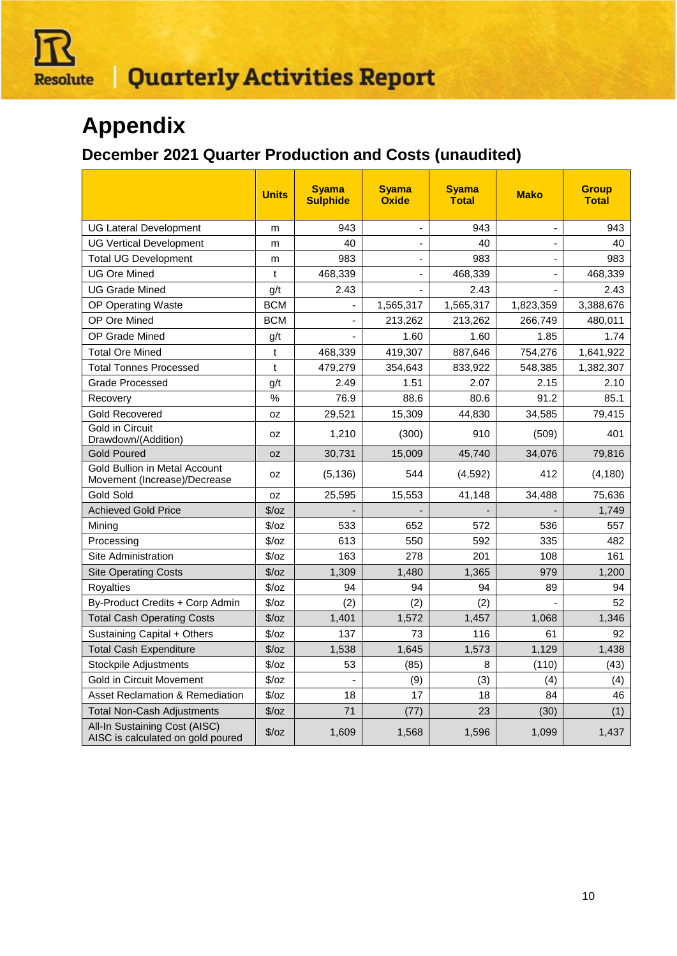

## **Appendix**

### **December 2021 Quarter Production and Costs (unaudited)**

|                                                                    | <b>Units</b>  | <b>Syama</b><br><b>Sulphide</b> | <b>Syama</b><br><b>Oxide</b> | <b>Syama</b><br><b>Total</b> | <b>Mako</b>    | <b>Group</b><br><b>Total</b> |
|--------------------------------------------------------------------|---------------|---------------------------------|------------------------------|------------------------------|----------------|------------------------------|
| <b>UG Lateral Development</b>                                      | m             | 943                             | $\blacksquare$               | 943                          | $\blacksquare$ | 943                          |
| <b>UG Vertical Development</b>                                     | m             | 40                              |                              | 40                           |                | 40                           |
| Total UG Development                                               | m             | 983                             |                              | 983                          |                | 983                          |
| <b>UG Ore Mined</b>                                                | t             | 468,339                         |                              | 468,339                      |                | 468,339                      |
| <b>UG Grade Mined</b>                                              | g/t           | 2.43                            |                              | 2.43                         |                | 2.43                         |
| <b>OP Operating Waste</b>                                          | <b>BCM</b>    |                                 | 1,565,317                    | 1,565,317                    | 1,823,359      | 3,388,676                    |
| OP Ore Mined                                                       | <b>BCM</b>    | ÷,                              | 213,262                      | 213,262                      | 266,749        | 480,011                      |
| OP Grade Mined                                                     | g/t           |                                 | 1.60                         | 1.60                         | 1.85           | 1.74                         |
| <b>Total Ore Mined</b>                                             | t             | 468,339                         | 419,307                      | 887,646                      | 754,276        | 1,641,922                    |
| <b>Total Tonnes Processed</b>                                      | t             | 479,279                         | 354,643                      | 833,922                      | 548,385        | 1,382,307                    |
| <b>Grade Processed</b>                                             | g/t           | 2.49                            | 1.51                         | 2.07                         | 2.15           | 2.10                         |
| Recovery                                                           | %             | 76.9                            | 88.6                         | 80.6                         | 91.2           | 85.1                         |
| <b>Gold Recovered</b>                                              | 0Z            | 29,521                          | 15,309                       | 44,830                       | 34,585         | 79,415                       |
| Gold in Circuit<br>Drawdown/(Addition)                             | 0Z            | 1,210                           | (300)                        | 910                          | (509)          | 401                          |
| <b>Gold Poured</b>                                                 | <b>OZ</b>     | 30,731                          | 15,009                       | 45.740                       | 34,076         | 79,816                       |
| Gold Bullion in Metal Account<br>Movement (Increase)/Decrease      | 0Z            | (5, 136)                        | 544                          | (4,592)                      | 412            | (4, 180)                     |
| Gold Sold                                                          | 0Z            | 25,595                          | 15,553                       | 41,148                       | 34,488         | 75,636                       |
| <b>Achieved Gold Price</b>                                         | $\sqrt{2}/oz$ |                                 |                              |                              |                | 1,749                        |
| Mining                                                             | \$/oz         | 533                             | 652                          | 572                          | 536            | 557                          |
| Processing                                                         | $\sqrt{2}/oz$ | 613                             | 550                          | 592                          | 335            | 482                          |
| Site Administration                                                | $\sqrt{2}/oz$ | 163                             | 278                          | 201                          | 108            | 161                          |
| <b>Site Operating Costs</b>                                        | $\sqrt{2}/oz$ | 1,309                           | 1,480                        | 1,365                        | 979            | 1,200                        |
| Royalties                                                          | $\sqrt{2}$    | 94                              | 94                           | 94                           | 89             | 94                           |
| By-Product Credits + Corp Admin                                    | $\sqrt{2}/oz$ | (2)                             | (2)                          | (2)                          |                | 52                           |
| <b>Total Cash Operating Costs</b>                                  | $\sqrt{2}/oz$ | 1,401                           | 1,572                        | 1,457                        | 1,068          | 1,346                        |
| Sustaining Capital + Others                                        | $\sqrt{2}/oz$ | 137                             | 73                           | 116                          | 61             | 92                           |
| <b>Total Cash Expenditure</b>                                      | $\sqrt{2}/oz$ | 1,538                           | 1.645                        | 1,573                        | 1,129          | 1,438                        |
| Stockpile Adjustments                                              | $\sqrt{2}$    | 53                              | (85)                         | 8                            | (110)          | (43)                         |
| Gold in Circuit Movement                                           | $\sqrt{2}/oz$ |                                 | (9)                          | (3)                          | (4)            | (4)                          |
| <b>Asset Reclamation &amp; Remediation</b>                         | $\sqrt{2}/oz$ | 18                              | 17                           | 18                           | 84             | 46                           |
| <b>Total Non-Cash Adjustments</b>                                  | $\sqrt{2}/oz$ | 71                              | (77)                         | 23                           | (30)           | (1)                          |
| All-In Sustaining Cost (AISC)<br>AISC is calculated on gold poured | $\sqrt{2}/oz$ | 1,609                           | 1,568                        | 1,596                        | 1,099          | 1,437                        |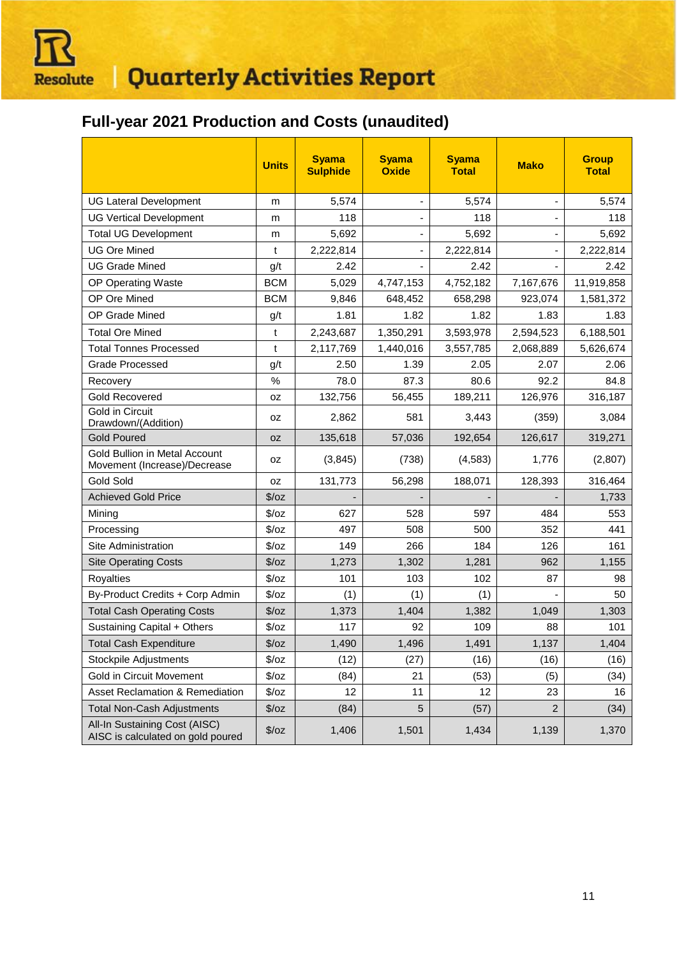

### **Full-year 2021 Production and Costs (unaudited)**

|                                                                      | <b>Units</b>  | <b>Syama</b><br><b>Sulphide</b> | <b>Syama</b><br><b>Oxide</b> | <b>Syama</b><br><b>Total</b> | <b>Mako</b>    | <b>Group</b><br><b>Total</b> |
|----------------------------------------------------------------------|---------------|---------------------------------|------------------------------|------------------------------|----------------|------------------------------|
| <b>UG Lateral Development</b>                                        | m             | 5,574                           | ٠                            | 5,574                        | -              | 5,574                        |
| <b>UG Vertical Development</b>                                       | m             | 118                             |                              | 118                          |                | 118                          |
| <b>Total UG Development</b>                                          | m             | 5,692                           | ۰                            | 5,692                        |                | 5,692                        |
| <b>UG Ore Mined</b>                                                  | t             | 2,222,814                       | $\frac{1}{2}$                | 2,222,814                    | -              | 2,222,814                    |
| <b>UG Grade Mined</b>                                                | g/t           | 2.42                            |                              | 2.42                         |                | 2.42                         |
| OP Operating Waste                                                   | <b>BCM</b>    | 5,029                           | 4,747,153                    | 4,752,182                    | 7,167,676      | 11,919,858                   |
| OP Ore Mined                                                         | <b>BCM</b>    | 9,846                           | 648,452                      | 658,298                      | 923,074        | 1,581,372                    |
| OP Grade Mined                                                       | g/t           | 1.81                            | 1.82                         | 1.82                         | 1.83           | 1.83                         |
| <b>Total Ore Mined</b>                                               | t             | 2,243,687                       | 1,350,291                    | 3,593,978                    | 2,594,523      | 6,188,501                    |
| <b>Total Tonnes Processed</b>                                        | t             | 2,117,769                       | 1,440,016                    | 3,557,785                    | 2,068,889      | 5,626,674                    |
| <b>Grade Processed</b>                                               | g/t           | 2.50                            | 1.39                         | 2.05                         | 2.07           | 2.06                         |
| Recovery                                                             | %             | 78.0                            | 87.3                         | 80.6                         | 92.2           | 84.8                         |
| <b>Gold Recovered</b>                                                | 0Z            | 132,756                         | 56,455                       | 189,211                      | 126,976        | 316,187                      |
| <b>Gold in Circuit</b><br>Drawdown/(Addition)                        | 0Z            | 2,862                           | 581                          | 3,443                        | (359)          | 3,084                        |
| <b>Gold Poured</b>                                                   | 0Z            | 135,618                         | 57,036                       | 192,654                      | 126,617        | 319,271                      |
| <b>Gold Bullion in Metal Account</b><br>Movement (Increase)/Decrease | 0Z            | (3,845)                         | (738)                        | (4, 583)                     | 1,776          | (2,807)                      |
| Gold Sold                                                            | 0Z            | 131,773                         | 56,298                       | 188,071                      | 128,393        | 316,464                      |
| <b>Achieved Gold Price</b>                                           | $\sqrt{2}/oz$ |                                 |                              |                              |                | 1,733                        |
| Mining                                                               | $\sqrt{2}/oz$ | 627                             | 528                          | 597                          | 484            | 553                          |
| Processing                                                           | $\sqrt{2}/oz$ | 497                             | 508                          | 500                          | 352            | 441                          |
| Site Administration                                                  | $\sqrt{2}/oz$ | 149                             | 266                          | 184                          | 126            | 161                          |
| <b>Site Operating Costs</b>                                          | \$/oz         | 1,273                           | 1,302                        | 1,281                        | 962            | 1,155                        |
| <b>Royalties</b>                                                     | $\sqrt{2}/oz$ | 101                             | 103                          | 102                          | 87             | 98                           |
| By-Product Credits + Corp Admin                                      | $\sqrt{2}/oz$ | (1)                             | (1)                          | (1)                          |                | 50                           |
| <b>Total Cash Operating Costs</b>                                    | $\sqrt{2}/oz$ | 1,373                           | 1,404                        | 1,382                        | 1,049          | 1,303                        |
| Sustaining Capital + Others                                          | $\sqrt{2}/oz$ | 117                             | 92                           | 109                          | 88             | 101                          |
| <b>Total Cash Expenditure</b>                                        | $\sqrt{2}/oz$ | 1,490                           | 1,496                        | 1,491                        | 1,137          | 1,404                        |
| <b>Stockpile Adjustments</b>                                         | $\sqrt{2}/oz$ | (12)                            | (27)                         | (16)                         | (16)           | (16)                         |
| Gold in Circuit Movement                                             | $\sqrt{2}/oz$ | (84)                            | 21                           | (53)                         | (5)            | (34)                         |
| Asset Reclamation & Remediation                                      | $\sqrt{2}/oz$ | 12                              | 11                           | 12                           | 23             | 16                           |
| <b>Total Non-Cash Adjustments</b>                                    | $\sqrt{2}/oz$ | (84)                            | 5                            | (57)                         | $\overline{c}$ | (34)                         |
| All-In Sustaining Cost (AISC)<br>AISC is calculated on gold poured   | $\sqrt{2}/oz$ | 1,406                           | 1,501                        | 1,434                        | 1,139          | 1,370                        |